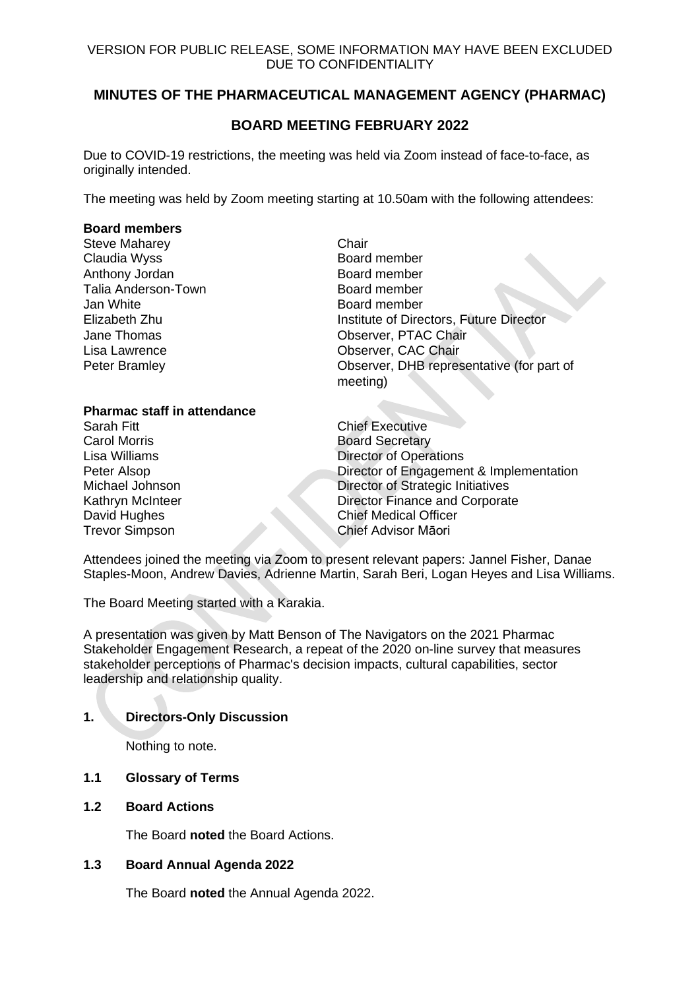## VERSION FOR PUBLIC RELEASE, SOME INFORMATION MAY HAVE BEEN EXCLUDED DUE TO CONFIDENTIALITY

# **MINUTES OF THE PHARMACEUTICAL MANAGEMENT AGENCY (PHARMAC)**

# **BOARD MEETING FEBRUARY 2022**

Due to COVID-19 restrictions, the meeting was held via Zoom instead of face-to-face, as originally intended.

The meeting was held by Zoom meeting starting at 10.50am with the following attendees:

#### **Board members**

Steve Maharey **Chair** Claudia Wyss **Board member** Anthony Jordan **Board member**<br> **Anthony Jordan Communist Control**<br>
Board member Talia Anderson-Town Jan White Board member Lisa Lawrence **CAC Chair CAC Chair CAC Chair** 

Elizabeth Zhu Institute of Directors, Future Director Jane Thomas Observer, PTAC Chair Peter Bramley **Deter Bramley** Observer, DHB representative (for part of meeting)

## **Pharmac staff in attendance**

Carol Morris **Board Secretary** 

Sarah Fitt Chief Executive Lisa Williams **Director of Operations** Peter Alsop **Director of Engagement & Implementation** Michael Johnson Director of Strategic Initiatives Kathryn McInteer **Director Finance and Corporate** David Hughes Chief Medical Officer Trevor Simpson Chief Advisor Māori

Attendees joined the meeting via Zoom to present relevant papers: Jannel Fisher, Danae Staples-Moon, Andrew Davies, Adrienne Martin, Sarah Beri, Logan Heyes and Lisa Williams.

The Board Meeting started with a Karakia.

A presentation was given by Matt Benson of The Navigators on the 2021 Pharmac Stakeholder Engagement Research, a repeat of the 2020 on-line survey that measures stakeholder perceptions of Pharmac's decision impacts, cultural capabilities, sector leadership and relationship quality.

## **1. Directors-Only Discussion**

Nothing to note.

## **1.1 Glossary of Terms**

**1.2 Board Actions**

The Board **noted** the Board Actions.

## **1.3 Board Annual Agenda 2022**

The Board **noted** the Annual Agenda 2022.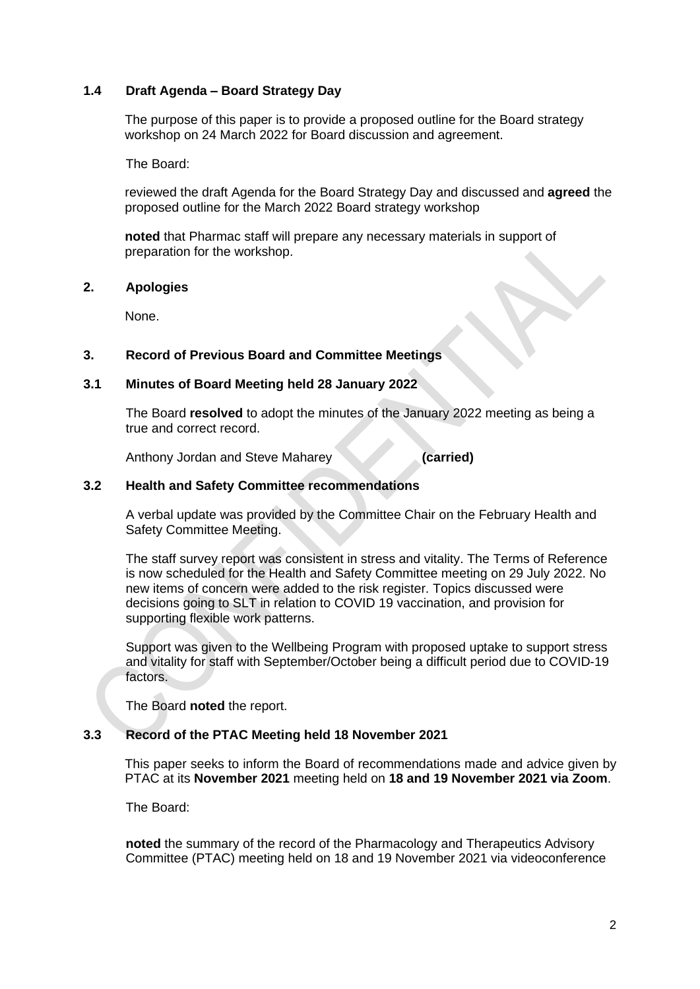## **1.4 Draft Agenda – Board Strategy Day**

The purpose of this paper is to provide a proposed outline for the Board strategy workshop on 24 March 2022 for Board discussion and agreement.

The Board:

reviewed the draft Agenda for the Board Strategy Day and discussed and **agreed** the proposed outline for the March 2022 Board strategy workshop

**noted** that Pharmac staff will prepare any necessary materials in support of preparation for the workshop.

#### **2. Apologies**

None.

## **3. Record of Previous Board and Committee Meetings**

#### **3.1 Minutes of Board Meeting held 28 January 2022**

The Board **resolved** to adopt the minutes of the January 2022 meeting as being a true and correct record.

Anthony Jordan and Steve Maharey **(carried)**

#### **3.2 Health and Safety Committee recommendations**

A verbal update was provided by the Committee Chair on the February Health and Safety Committee Meeting.

The staff survey report was consistent in stress and vitality. The Terms of Reference is now scheduled for the Health and Safety Committee meeting on 29 July 2022. No new items of concern were added to the risk register. Topics discussed were decisions going to SLT in relation to COVID 19 vaccination, and provision for supporting flexible work patterns.

Support was given to the Wellbeing Program with proposed uptake to support stress and vitality for staff with September/October being a difficult period due to COVID-19 factors.

The Board **noted** the report.

## **3.3 Record of the PTAC Meeting held 18 November 2021**

This paper seeks to inform the Board of recommendations made and advice given by PTAC at its **November 2021** meeting held on **18 and 19 November 2021 via Zoom**.

The Board:

**noted** the summary of the record of the Pharmacology and Therapeutics Advisory Committee (PTAC) meeting held on 18 and 19 November 2021 via videoconference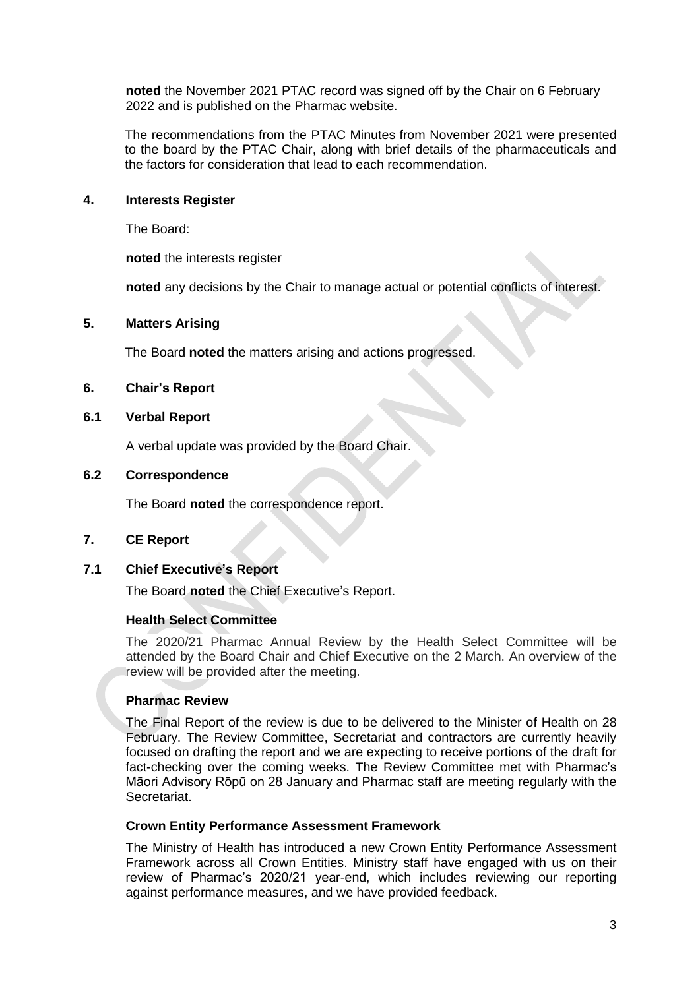**noted** the November 2021 PTAC record was signed off by the Chair on 6 February 2022 and is published on the Pharmac website.

The recommendations from the PTAC Minutes from November 2021 were presented to the board by the PTAC Chair, along with brief details of the pharmaceuticals and the factors for consideration that lead to each recommendation.

#### **4. Interests Register**

The Board:

**noted** the interests register

**noted** any decisions by the Chair to manage actual or potential conflicts of interest.

#### **5. Matters Arising**

The Board **noted** the matters arising and actions progressed.

#### **6. Chair's Report**

## **6.1 Verbal Report**

A verbal update was provided by the Board Chair.

#### **6.2 Correspondence**

The Board **noted** the correspondence report.

## **7. CE Report**

#### **7.1 Chief Executive's Report**

The Board **noted** the Chief Executive's Report.

#### **Health Select Committee**

The 2020/21 Pharmac Annual Review by the Health Select Committee will be attended by the Board Chair and Chief Executive on the 2 March. An overview of the review will be provided after the meeting.

## **Pharmac Review**

The Final Report of the review is due to be delivered to the Minister of Health on 28 February. The Review Committee, Secretariat and contractors are currently heavily focused on drafting the report and we are expecting to receive portions of the draft for fact-checking over the coming weeks. The Review Committee met with Pharmac's Māori Advisory Rōpū on 28 January and Pharmac staff are meeting regularly with the Secretariat.

#### **Crown Entity Performance Assessment Framework**

The Ministry of Health has introduced a new Crown Entity Performance Assessment Framework across all Crown Entities. Ministry staff have engaged with us on their review of Pharmac's 2020/21 year-end, which includes reviewing our reporting against performance measures, and we have provided feedback.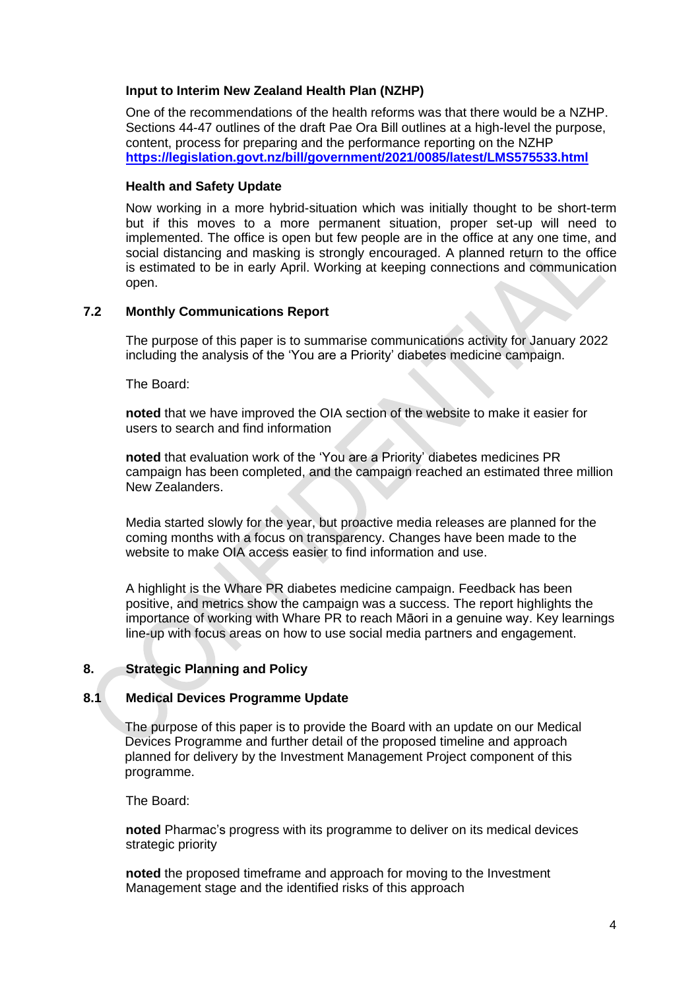## **Input to Interim New Zealand Health Plan (NZHP)**

One of the recommendations of the health reforms was that there would be a NZHP. Sections 44-47 outlines of the draft Pae Ora Bill outlines at a high-level the purpose, content, process for preparing and the performance reporting on the NZHP **<https://legislation.govt.nz/bill/government/2021/0085/latest/LMS575533.html>**

## **Health and Safety Update**

Now working in a more hybrid-situation which was initially thought to be short-term but if this moves to a more permanent situation, proper set-up will need to implemented. The office is open but few people are in the office at any one time, and social distancing and masking is strongly encouraged. A planned return to the office is estimated to be in early April. Working at keeping connections and communication open.

## **7.2 Monthly Communications Report**

The purpose of this paper is to summarise communications activity for January 2022 including the analysis of the 'You are a Priority' diabetes medicine campaign.

The Board:

**noted** that we have improved the OIA section of the website to make it easier for users to search and find information

**noted** that evaluation work of the 'You are a Priority' diabetes medicines PR campaign has been completed, and the campaign reached an estimated three million New Zealanders.

Media started slowly for the year, but proactive media releases are planned for the coming months with a focus on transparency. Changes have been made to the website to make OIA access easier to find information and use.

A highlight is the Whare PR diabetes medicine campaign. Feedback has been positive, and metrics show the campaign was a success. The report highlights the importance of working with Whare PR to reach Māori in a genuine way. Key learnings line-up with focus areas on how to use social media partners and engagement.

## **8. Strategic Planning and Policy**

## **8.1 Medical Devices Programme Update**

The purpose of this paper is to provide the Board with an update on our Medical Devices Programme and further detail of the proposed timeline and approach planned for delivery by the Investment Management Project component of this programme.

The Board:

**noted** Pharmac's progress with its programme to deliver on its medical devices strategic priority

**noted** the proposed timeframe and approach for moving to the Investment Management stage and the identified risks of this approach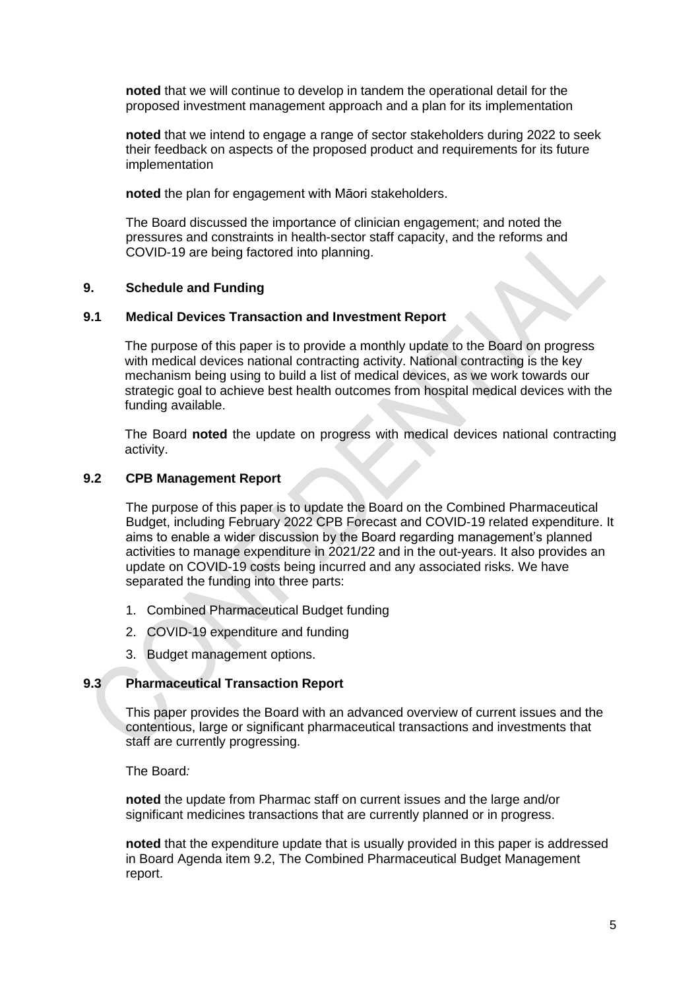**noted** that we will continue to develop in tandem the operational detail for the proposed investment management approach and a plan for its implementation

**noted** that we intend to engage a range of sector stakeholders during 2022 to seek their feedback on aspects of the proposed product and requirements for its future implementation

**noted** the plan for engagement with Māori stakeholders.

The Board discussed the importance of clinician engagement; and noted the pressures and constraints in health-sector staff capacity, and the reforms and COVID-19 are being factored into planning.

#### **9. Schedule and Funding**

#### **9.1 Medical Devices Transaction and Investment Report**

The purpose of this paper is to provide a monthly update to the Board on progress with medical devices national contracting activity. National contracting is the key mechanism being using to build a list of medical devices, as we work towards our strategic goal to achieve best health outcomes from hospital medical devices with the funding available.

The Board **noted** the update on progress with medical devices national contracting activity.

## **9.2 CPB Management Report**

The purpose of this paper is to update the Board on the Combined Pharmaceutical Budget, including February 2022 CPB Forecast and COVID-19 related expenditure. It aims to enable a wider discussion by the Board regarding management's planned activities to manage expenditure in 2021/22 and in the out-years. It also provides an update on COVID-19 costs being incurred and any associated risks. We have separated the funding into three parts:

- 1. Combined Pharmaceutical Budget funding
- 2. COVID-19 expenditure and funding
- 3. Budget management options.

## **9.3 Pharmaceutical Transaction Report**

This paper provides the Board with an advanced overview of current issues and the contentious, large or significant pharmaceutical transactions and investments that staff are currently progressing.

The Board*:*

**noted** the update from Pharmac staff on current issues and the large and/or significant medicines transactions that are currently planned or in progress.

**noted** that the expenditure update that is usually provided in this paper is addressed in Board Agenda item 9.2, The Combined Pharmaceutical Budget Management report.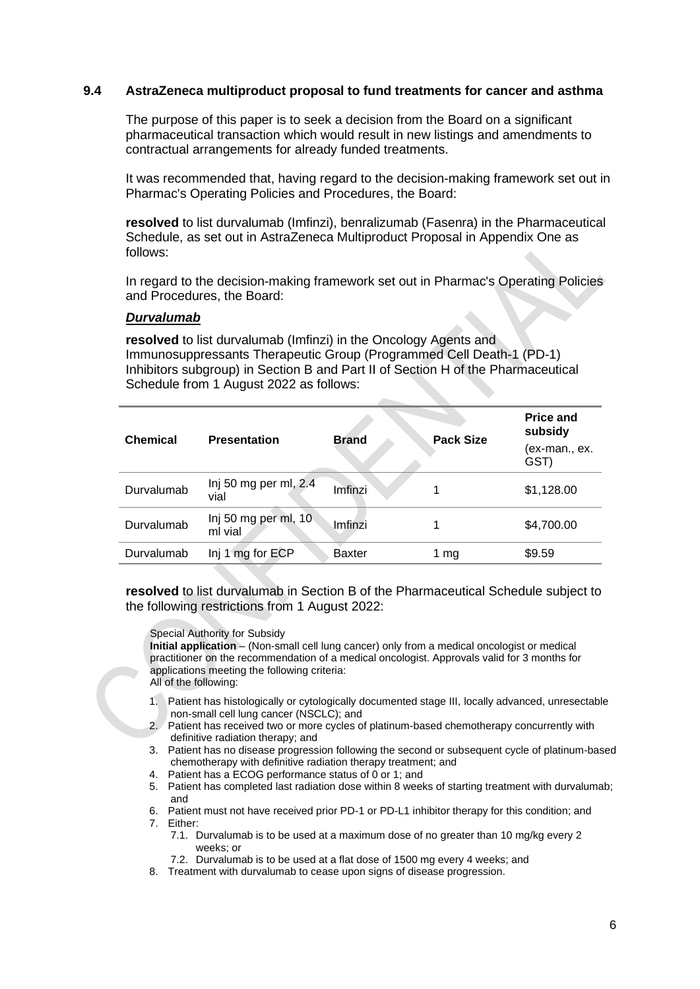#### **9.4 AstraZeneca multiproduct proposal to fund treatments for cancer and asthma**

The purpose of this paper is to seek a decision from the Board on a significant pharmaceutical transaction which would result in new listings and amendments to contractual arrangements for already funded treatments.

It was recommended that, having regard to the decision-making framework set out in Pharmac's Operating Policies and Procedures, the Board:

**resolved** to list durvalumab (Imfinzi), benralizumab (Fasenra) in the Pharmaceutical Schedule, as set out in AstraZeneca Multiproduct Proposal in Appendix One as follows:

In regard to the decision-making framework set out in Pharmac's Operating Policies and Procedures, the Board:

#### *Durvalumab*

**resolved** to list durvalumab (Imfinzi) in the Oncology Agents and Immunosuppressants Therapeutic Group (Programmed Cell Death-1 (PD-1) Inhibitors subgroup) in Section B and Part II of Section H of the Pharmaceutical Schedule from 1 August 2022 as follows:

| <b>Chemical</b> | <b>Presentation</b>             | <b>Brand</b>  | <b>Pack Size</b> | <b>Price and</b><br>subsidy<br>(ex-man., ex.<br>GST) |
|-----------------|---------------------------------|---------------|------------------|------------------------------------------------------|
| Durvalumab      | Inj 50 mg per ml, 2.4<br>vial   | Imfinzi       | 1                | \$1,128.00                                           |
| Durvalumab      | Inj 50 mg per ml, 10<br>ml vial | Imfinzi       | 1                | \$4,700.00                                           |
| Durvalumab      | Inj 1 mg for ECP                | <b>Baxter</b> | 1 mg             | \$9.59                                               |

**resolved** to list durvalumab in Section B of the Pharmaceutical Schedule subject to the following restrictions from 1 August 2022:

#### Special Authority for Subsidy

**Initial application** – (Non-small cell lung cancer) only from a medical oncologist or medical practitioner on the recommendation of a medical oncologist. Approvals valid for 3 months for applications meeting the following criteria: All of the following:

- 1. Patient has histologically or cytologically documented stage III, locally advanced, unresectable non-small cell lung cancer (NSCLC); and
- 2. Patient has received two or more cycles of platinum-based chemotherapy concurrently with definitive radiation therapy; and
- 3. Patient has no disease progression following the second or subsequent cycle of platinum-based chemotherapy with definitive radiation therapy treatment; and
- 4. Patient has a ECOG performance status of 0 or 1; and
- 5. Patient has completed last radiation dose within 8 weeks of starting treatment with durvalumab; and
- 6. Patient must not have received prior PD-1 or PD-L1 inhibitor therapy for this condition; and 7. Either:
	- 7.1. Durvalumab is to be used at a maximum dose of no greater than 10 mg/kg every 2 weeks; or
	- 7.2. Durvalumab is to be used at a flat dose of 1500 mg every 4 weeks; and
- 8. Treatment with durvalumab to cease upon signs of disease progression.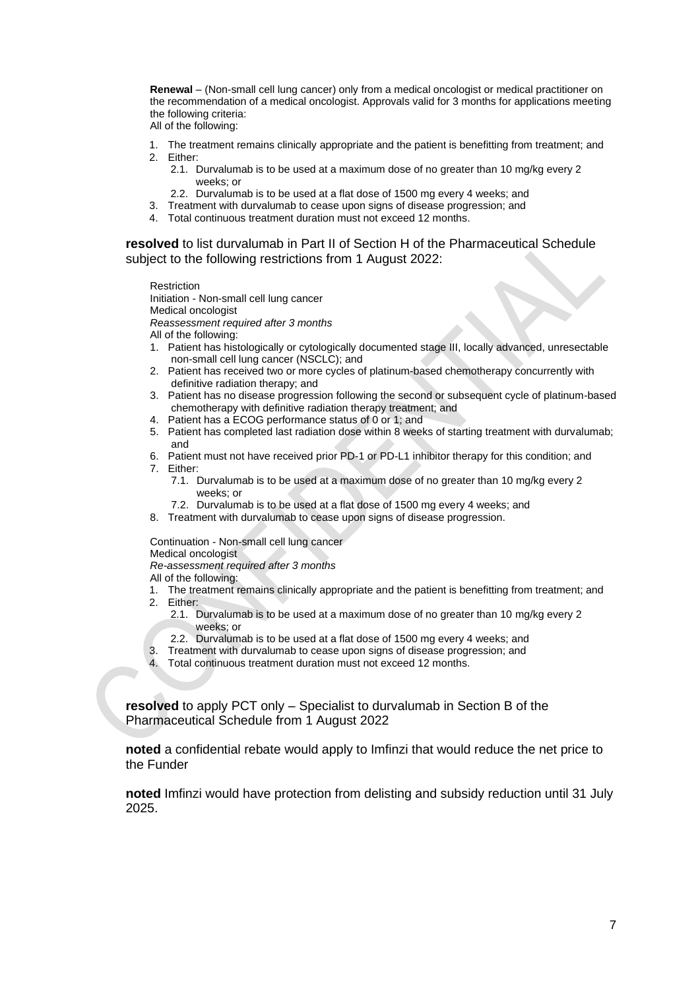**Renewal** – (Non-small cell lung cancer) only from a medical oncologist or medical practitioner on the recommendation of a medical oncologist. Approvals valid for 3 months for applications meeting the following criteria:

- All of the following:
- 1. The treatment remains clinically appropriate and the patient is benefitting from treatment; and
- 2. Either:
	- 2.1. Durvalumab is to be used at a maximum dose of no greater than 10 mg/kg every 2 weeks; or
	- 2.2. Durvalumab is to be used at a flat dose of 1500 mg every 4 weeks; and
- 3. Treatment with durvalumab to cease upon signs of disease progression; and
- 4. Total continuous treatment duration must not exceed 12 months.

**resolved** to list durvalumab in Part II of Section H of the Pharmaceutical Schedule subject to the following restrictions from 1 August 2022:

Restriction

Initiation - Non-small cell lung cancer

Medical oncologist

*Reassessment required after 3 months*

All of the following:

- 1. Patient has histologically or cytologically documented stage III, locally advanced, unresectable non-small cell lung cancer (NSCLC); and
- 2. Patient has received two or more cycles of platinum-based chemotherapy concurrently with definitive radiation therapy; and
- 3. Patient has no disease progression following the second or subsequent cycle of platinum-based chemotherapy with definitive radiation therapy treatment; and
- 4. Patient has a ECOG performance status of 0 or 1; and
- 5. Patient has completed last radiation dose within 8 weeks of starting treatment with durvalumab; and
- 6. Patient must not have received prior PD-1 or PD-L1 inhibitor therapy for this condition; and
- 7. Either:
	- 7.1. Durvalumab is to be used at a maximum dose of no greater than 10 mg/kg every 2 weeks; or
	- 7.2. Durvalumab is to be used at a flat dose of 1500 mg every 4 weeks; and
- 8. Treatment with durvalumab to cease upon signs of disease progression.

Continuation - Non-small cell lung cancer

Medical oncologist

*Re-assessment required after 3 months* 

All of the following:

- 1. The treatment remains clinically appropriate and the patient is benefitting from treatment; and
- 2. Either:
	- 2.1. Durvalumab is to be used at a maximum dose of no greater than 10 mg/kg every 2 weeks; or
	- 2.2. Durvalumab is to be used at a flat dose of 1500 mg every 4 weeks; and
- 3. Treatment with durvalumab to cease upon signs of disease progression; and
- 4. Total continuous treatment duration must not exceed 12 months.

**resolved** to apply PCT only – Specialist to durvalumab in Section B of the Pharmaceutical Schedule from 1 August 2022

**noted** a confidential rebate would apply to Imfinzi that would reduce the net price to the Funder

**noted** Imfinzi would have protection from delisting and subsidy reduction until 31 July 2025.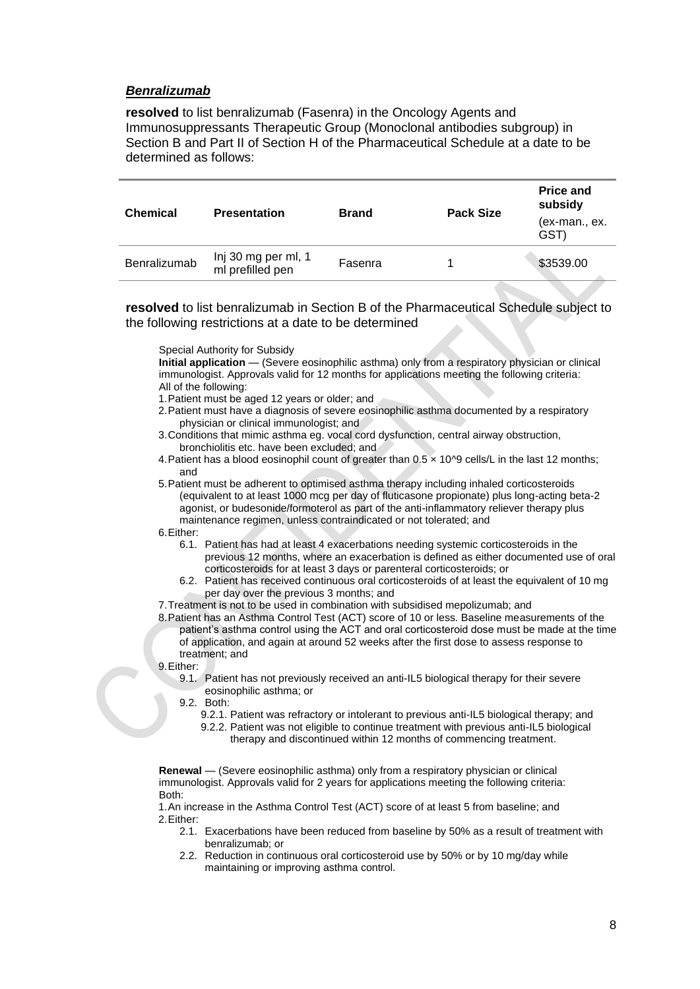#### *Benralizumab*

**resolved** to list benralizumab (Fasenra) in the Oncology Agents and Immunosuppressants Therapeutic Group (Monoclonal antibodies subgroup) in Section B and Part II of Section H of the Pharmaceutical Schedule at a date to be determined as follows:

| <b>Chemical</b> | <b>Presentation</b>                     | <b>Brand</b> | <b>Pack Size</b> | <b>Price and</b><br>subsidy |
|-----------------|-----------------------------------------|--------------|------------------|-----------------------------|
|                 |                                         |              |                  | (ex-man., ex.<br>(GST       |
| Benralizumab    | Inj 30 mg per ml, 1<br>ml prefilled pen | Fasenra      |                  | \$3539.00                   |

**resolved** to list benralizumab in Section B of the Pharmaceutical Schedule subject to the following restrictions at a date to be determined

Special Authority for Subsidy

**Initial application** — (Severe eosinophilic asthma) only from a respiratory physician or clinical immunologist. Approvals valid for 12 months for applications meeting the following criteria: All of the following:

- 1.Patient must be aged 12 years or older; and
- 2.Patient must have a diagnosis of severe eosinophilic asthma documented by a respiratory physician or clinical immunologist; and
- 3.Conditions that mimic asthma eg. vocal cord dysfunction, central airway obstruction, bronchiolitis etc. have been excluded; and
- 4. Patient has a blood eosinophil count of greater than 0.5 x 10^9 cells/L in the last 12 months; and
- 5.Patient must be adherent to optimised asthma therapy including inhaled corticosteroids (equivalent to at least 1000 mcg per day of fluticasone propionate) plus long-acting beta-2 agonist, or budesonide/formoterol as part of the anti-inflammatory reliever therapy plus maintenance regimen, unless contraindicated or not tolerated; and
- 6.Either:
	- 6.1. Patient has had at least 4 exacerbations needing systemic corticosteroids in the previous 12 months, where an exacerbation is defined as either documented use of oral corticosteroids for at least 3 days or parenteral corticosteroids; or
	- 6.2. Patient has received continuous oral corticosteroids of at least the equivalent of 10 mg per day over the previous 3 months; and
- 7.Treatment is not to be used in combination with subsidised mepolizumab; and
- 8.Patient has an Asthma Control Test (ACT) score of 10 or less. Baseline measurements of the patient's asthma control using the ACT and oral corticosteroid dose must be made at the time of application, and again at around 52 weeks after the first dose to assess response to treatment; and
- 9.Either:
	- 9.1. Patient has not previously received an anti-IL5 biological therapy for their severe eosinophilic asthma; or
	- 9.2. Both:
		- 9.2.1. Patient was refractory or intolerant to previous anti-IL5 biological therapy; and
			- 9.2.2. Patient was not eligible to continue treatment with previous anti-IL5 biological therapy and discontinued within 12 months of commencing treatment.

**Renewal** — (Severe eosinophilic asthma) only from a respiratory physician or clinical immunologist. Approvals valid for 2 years for applications meeting the following criteria: Both:

1.An increase in the Asthma Control Test (ACT) score of at least 5 from baseline; and 2.Either:

- 2.1. Exacerbations have been reduced from baseline by 50% as a result of treatment with benralizumab; or
- 2.2. Reduction in continuous oral corticosteroid use by 50% or by 10 mg/day while maintaining or improving asthma control.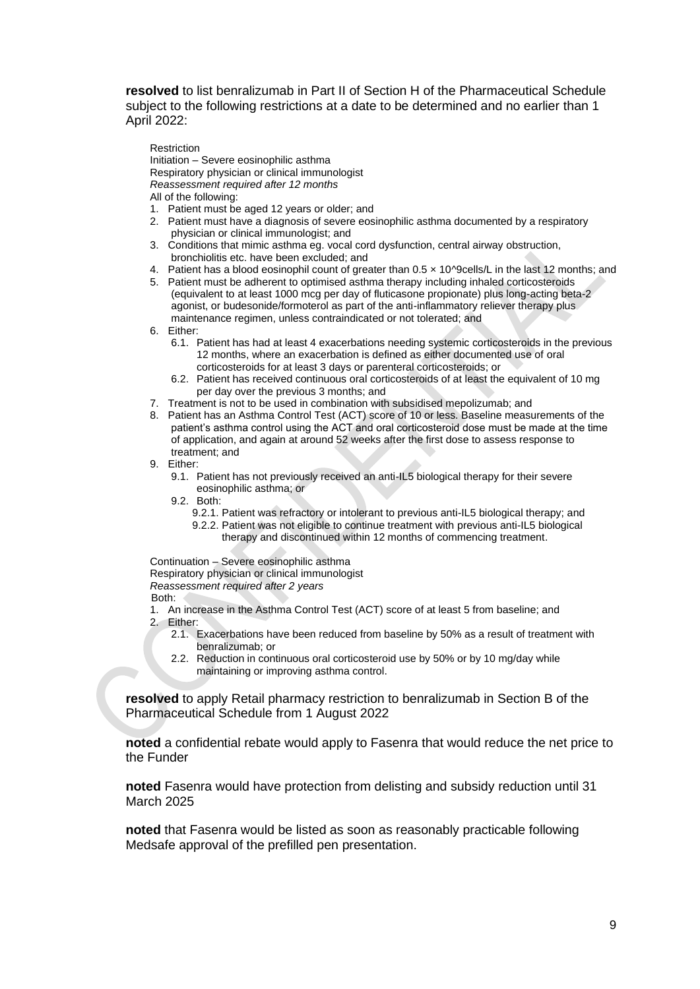**resolved** to list benralizumab in Part II of Section H of the Pharmaceutical Schedule subject to the following restrictions at a date to be determined and no earlier than 1 April 2022:

Restriction

Initiation – Severe eosinophilic asthma Respiratory physician or clinical immunologist *Reassessment required after 12 months* All of the following:

- 1. Patient must be aged 12 years or older; and
- 2. Patient must have a diagnosis of severe eosinophilic asthma documented by a respiratory physician or clinical immunologist; and
- 3. Conditions that mimic asthma eg. vocal cord dysfunction, central airway obstruction, bronchiolitis etc. have been excluded; and
- 4. Patient has a blood eosinophil count of greater than 0.5 x 10^9cells/L in the last 12 months; and
- 5. Patient must be adherent to optimised asthma therapy including inhaled corticosteroids (equivalent to at least 1000 mcg per day of fluticasone propionate) plus long-acting beta-2 agonist, or budesonide/formoterol as part of the anti-inflammatory reliever therapy plus maintenance regimen, unless contraindicated or not tolerated; and

6. Either:

- 6.1. Patient has had at least 4 exacerbations needing systemic corticosteroids in the previous 12 months, where an exacerbation is defined as either documented use of oral corticosteroids for at least 3 days or parenteral corticosteroids; or
- 6.2. Patient has received continuous oral corticosteroids of at least the equivalent of 10 mg per day over the previous 3 months; and
- 7. Treatment is not to be used in combination with subsidised mepolizumab; and
- 8. Patient has an Asthma Control Test (ACT) score of 10 or less. Baseline measurements of the patient's asthma control using the ACT and oral corticosteroid dose must be made at the time of application, and again at around 52 weeks after the first dose to assess response to treatment; and
- 9. Either:
	- 9.1. Patient has not previously received an anti-IL5 biological therapy for their severe eosinophilic asthma; or
	- 9.2. Both:
		- 9.2.1. Patient was refractory or intolerant to previous anti-IL5 biological therapy; and 9.2.2. Patient was not eligible to continue treatment with previous anti-IL5 biological therapy and discontinued within 12 months of commencing treatment.

Continuation – Severe eosinophilic asthma Respiratory physician or clinical immunologist *Reassessment required after 2 years* Both:

- 1. An increase in the Asthma Control Test (ACT) score of at least 5 from baseline; and 2. Either:
	- 2.1. Exacerbations have been reduced from baseline by 50% as a result of treatment with benralizumab; or
	- 2.2. Reduction in continuous oral corticosteroid use by 50% or by 10 mg/day while maintaining or improving asthma control.

**resolved** to apply Retail pharmacy restriction to benralizumab in Section B of the Pharmaceutical Schedule from 1 August 2022

**noted** a confidential rebate would apply to Fasenra that would reduce the net price to the Funder

**noted** Fasenra would have protection from delisting and subsidy reduction until 31 March 2025

**noted** that Fasenra would be listed as soon as reasonably practicable following Medsafe approval of the prefilled pen presentation.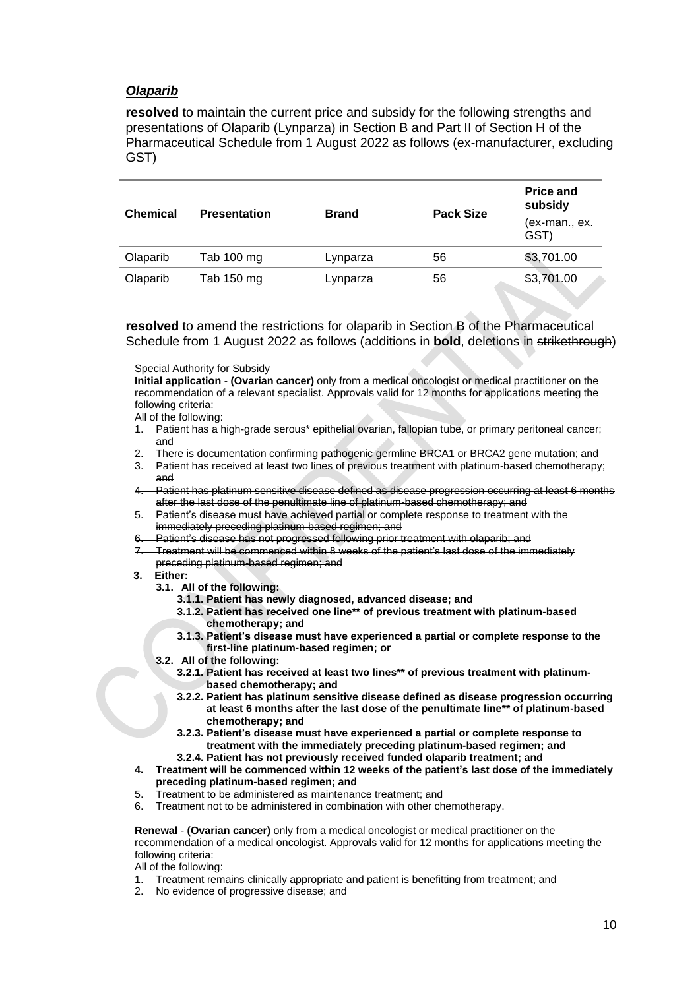## *Olaparib*

**resolved** to maintain the current price and subsidy for the following strengths and presentations of Olaparib (Lynparza) in Section B and Part II of Section H of the Pharmaceutical Schedule from 1 August 2022 as follows (ex-manufacturer, excluding GST)

| <b>Chemical</b> | <b>Presentation</b> | <b>Brand</b> | <b>Pack Size</b> | <b>Price and</b><br>subsidy |
|-----------------|---------------------|--------------|------------------|-----------------------------|
|                 |                     |              |                  | (ex-man., ex.<br>GST)       |
| Olaparib        | Tab 100 mg          | Lynparza     | 56               | \$3,701.00                  |
| Olaparib        | Tab 150 mg          | Lynparza     | 56               | \$3,701.00                  |
|                 |                     |              |                  |                             |

**resolved** to amend the restrictions for olaparib in Section B of the Pharmaceutical Schedule from 1 August 2022 as follows (additions in **bold**, deletions in strikethrough)

Special Authority for Subsidy

**Initial application** - **(Ovarian cancer)** only from a medical oncologist or medical practitioner on the recommendation of a relevant specialist. Approvals valid for 12 months for applications meeting the following criteria:

All of the following:

- 1. Patient has a high-grade serous\* epithelial ovarian, fallopian tube, or primary peritoneal cancer; and
- 2. There is documentation confirming pathogenic germline BRCA1 or BRCA2 gene mutation; and
- Patient has received at least two lines of previous treatment with platinum-based chemotherapy; and
- 4. Patient has platinum sensitive disease defined as disease progression occurring at least 6 months after the last dose of the penultimate line of platinum-based chemotherapy; and
- 5. Patient's disease must have achieved partial or complete response to treatment with the immediately preceding platinum-based regimen; and
- 6. Patient's disease has not progressed following prior treatment with olaparib; and
- 7. Treatment will be commenced within 8 weeks of the patient's last dose of the immediately preceding platinum-based regimen; and
- **3. Either:**
	- **3.1. All of the following:**
		- **3.1.1. Patient has newly diagnosed, advanced disease; and**
		- **3.1.2. Patient has received one line\*\* of previous treatment with platinum-based chemotherapy; and**
		- **3.1.3. Patient's disease must have experienced a partial or complete response to the first-line platinum-based regimen; or**
	- **3.2. All of the following:**
		- **3.2.1. Patient has received at least two lines\*\* of previous treatment with platinumbased chemotherapy; and**
		- **3.2.2. Patient has platinum sensitive disease defined as disease progression occurring at least 6 months after the last dose of the penultimate line\*\* of platinum-based chemotherapy; and**
		- **3.2.3. Patient's disease must have experienced a partial or complete response to treatment with the immediately preceding platinum-based regimen; and**
		- **3.2.4. Patient has not previously received funded olaparib treatment; and**
- **4. Treatment will be commenced within 12 weeks of the patient's last dose of the immediately preceding platinum-based regimen; and**
- 5. Treatment to be administered as maintenance treatment; and
- 6. Treatment not to be administered in combination with other chemotherapy.

**Renewal** - **(Ovarian cancer)** only from a medical oncologist or medical practitioner on the recommendation of a medical oncologist. Approvals valid for 12 months for applications meeting the following criteria:

All of the following:

- 1. Treatment remains clinically appropriate and patient is benefitting from treatment; and
- 2. No evidence of progressive disease; and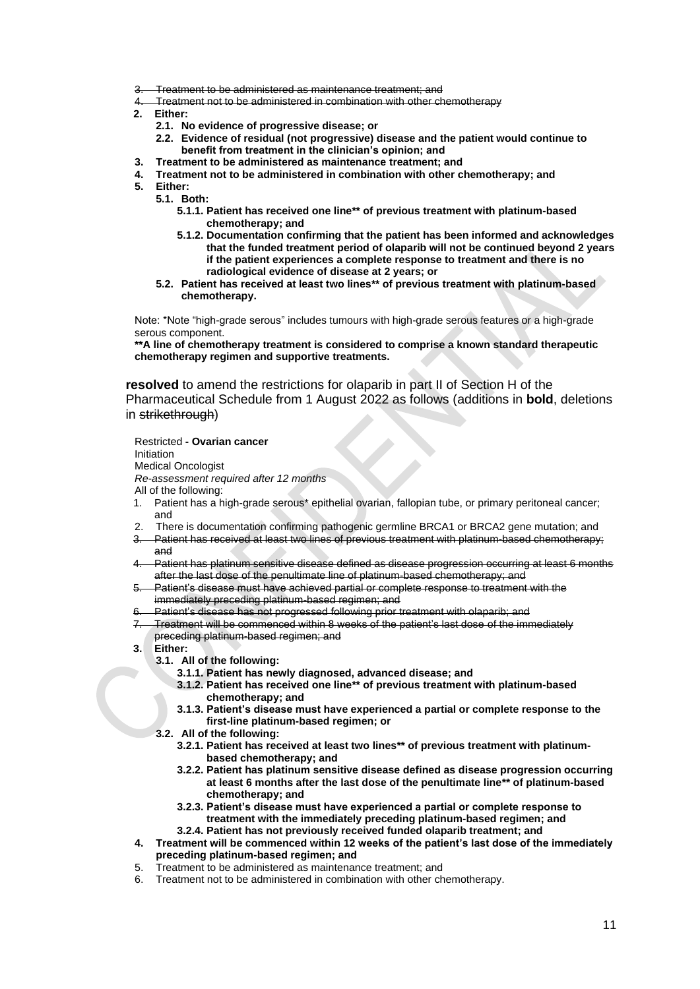- Treatment to be administered as maintenance treatment; and
- Treatment not to be administered in combination with other chemotherapy
- **2. Either:**
	- **2.1. No evidence of progressive disease; or**
	- **2.2. Evidence of residual (not progressive) disease and the patient would continue to benefit from treatment in the clinician's opinion; and**
- **3. Treatment to be administered as maintenance treatment; and**
- **4. Treatment not to be administered in combination with other chemotherapy; and**
- **5. Either:**
	- **5.1. Both:**
		- **5.1.1. Patient has received one line\*\* of previous treatment with platinum-based chemotherapy; and**
		- **5.1.2. Documentation confirming that the patient has been informed and acknowledges that the funded treatment period of olaparib will not be continued beyond 2 years if the patient experiences a complete response to treatment and there is no radiological evidence of disease at 2 years; or**
		- **5.2. Patient has received at least two lines\*\* of previous treatment with platinum-based chemotherapy.**

Note: \*Note "high-grade serous" includes tumours with high-grade serous features or a high-grade serous component.

**\*\*A line of chemotherapy treatment is considered to comprise a known standard therapeutic chemotherapy regimen and supportive treatments.**

**resolved** to amend the restrictions for olaparib in part II of Section H of the Pharmaceutical Schedule from 1 August 2022 as follows (additions in **bold**, deletions in strikethrough)

Restricted **- Ovarian cancer**

Initiation

Medical Oncologist

- *Re-assessment required after 12 months*
- All of the following:
- 1. Patient has a high-grade serous\* epithelial ovarian, fallopian tube, or primary peritoneal cancer; and
- 2. There is documentation confirming pathogenic germline BRCA1 or BRCA2 gene mutation; and Patient has received at least two lines of previous treatment with platinum-based chemotherapy;
- and
- Patient has platinum sensitive disease defined as disease progression occurring at least 6 months after the last dose of the penultimate line of platinum-based chemotherapy; and
- 5. Patient's disease must have achieved partial or complete response to treatment with the immediately preceding platinum-based regimen; and
- Patient's disease has not progressed following prior treatment with olaparib; and
- 7. Treatment will be commenced within 8 weeks of the patient's last dose of the immediately preceding platinum-based regimen; and
- **3. Either:**
	- **3.1. All of the following:**
		- **3.1.1. Patient has newly diagnosed, advanced disease; and**
		- **3.1.2. Patient has received one line\*\* of previous treatment with platinum-based chemotherapy; and**
		- **3.1.3. Patient's disease must have experienced a partial or complete response to the first-line platinum-based regimen; or**
	- **3.2. All of the following:**
		- **3.2.1. Patient has received at least two lines\*\* of previous treatment with platinumbased chemotherapy; and**
		- **3.2.2. Patient has platinum sensitive disease defined as disease progression occurring at least 6 months after the last dose of the penultimate line\*\* of platinum-based chemotherapy; and**
		- **3.2.3. Patient's disease must have experienced a partial or complete response to treatment with the immediately preceding platinum-based regimen; and 3.2.4. Patient has not previously received funded olaparib treatment; and**
- **4. Treatment will be commenced within 12 weeks of the patient's last dose of the immediately preceding platinum-based regimen; and**
- 5. Treatment to be administered as maintenance treatment; and
- 6. Treatment not to be administered in combination with other chemotherapy.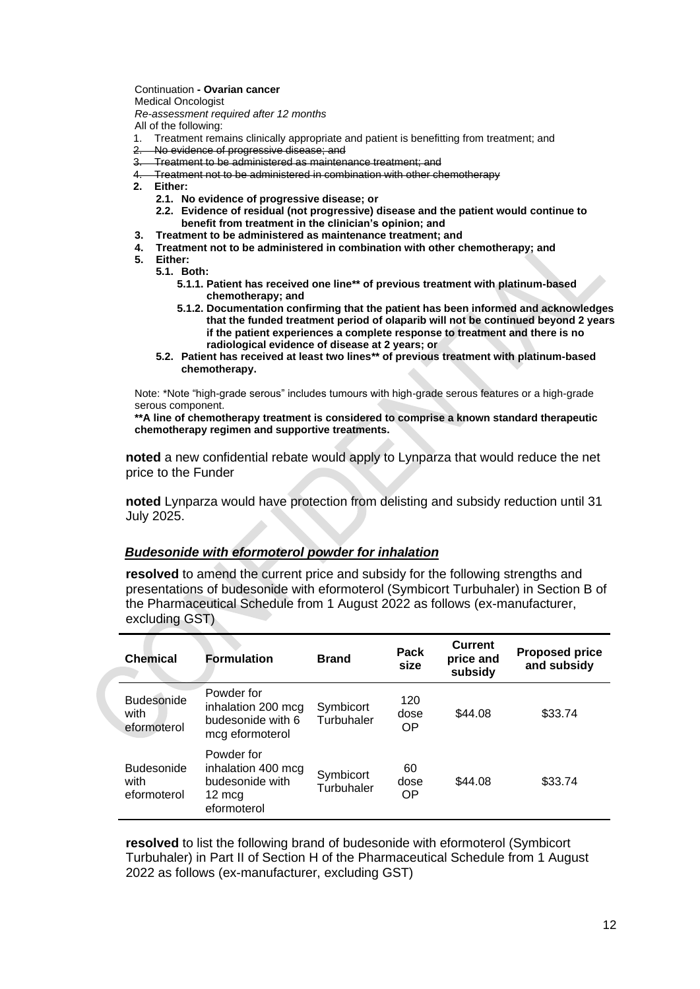Continuation **- Ovarian cancer** Medical Oncologist *Re-assessment required after 12 months* 

All of the following:

- 1. Treatment remains clinically appropriate and patient is benefitting from treatment; and
- 2. No evidence of progressive disease; and
- 3. Treatment to be administered as maintenance treatment; and
- 4. Treatment not to be administered in combination with other chemotherapy
- **2. Either:**
- 
- **2.1. No evidence of progressive disease; or**
	- **2.2. Evidence of residual (not progressive) disease and the patient would continue to benefit from treatment in the clinician's opinion; and**
- **3. Treatment to be administered as maintenance treatment; and**
- **4. Treatment not to be administered in combination with other chemotherapy; and**
- **5. Either:**
	- **5.1. Both: 5.1.1. Patient has received one line\*\* of previous treatment with platinum-based chemotherapy; and**
		- **5.1.2. Documentation confirming that the patient has been informed and acknowledges that the funded treatment period of olaparib will not be continued beyond 2 years if the patient experiences a complete response to treatment and there is no radiological evidence of disease at 2 years; or**
	- **5.2. Patient has received at least two lines\*\* of previous treatment with platinum-based chemotherapy.**

Note: \*Note "high-grade serous" includes tumours with high-grade serous features or a high-grade serous component.

**\*\*A line of chemotherapy treatment is considered to comprise a known standard therapeutic chemotherapy regimen and supportive treatments.**

**noted** a new confidential rebate would apply to Lynparza that would reduce the net price to the Funder

**noted** Lynparza would have protection from delisting and subsidy reduction until 31 July 2025.

#### *Budesonide with eformoterol powder for inhalation*

**resolved** to amend the current price and subsidy for the following strengths and presentations of budesonide with eformoterol (Symbicort Turbuhaler) in Section B of the Pharmaceutical Schedule from 1 August 2022 as follows (ex-manufacturer, excluding GST)

| <b>Chemical</b>                          | <b>Formulation</b>                                                                     | <b>Brand</b>            | Pack<br>size      | <b>Current</b><br>price and<br>subsidy | <b>Proposed price</b><br>and subsidy |
|------------------------------------------|----------------------------------------------------------------------------------------|-------------------------|-------------------|----------------------------------------|--------------------------------------|
| <b>Budesonide</b><br>with<br>eformoterol | Powder for<br>inhalation 200 mcg<br>budesonide with 6<br>mcg eformoterol               | Symbicort<br>Turbuhaler | 120<br>dose<br>OP | \$44.08                                | \$33.74                              |
| <b>Budesonide</b><br>with<br>eformoterol | Powder for<br>inhalation 400 mcg<br>budesonide with<br>$12 \text{ mcg}$<br>eformoterol | Symbicort<br>Turbuhaler | 60<br>dose<br>OP  | \$44.08                                | \$33.74                              |

**resolved** to list the following brand of budesonide with eformoterol (Symbicort Turbuhaler) in Part II of Section H of the Pharmaceutical Schedule from 1 August 2022 as follows (ex-manufacturer, excluding GST)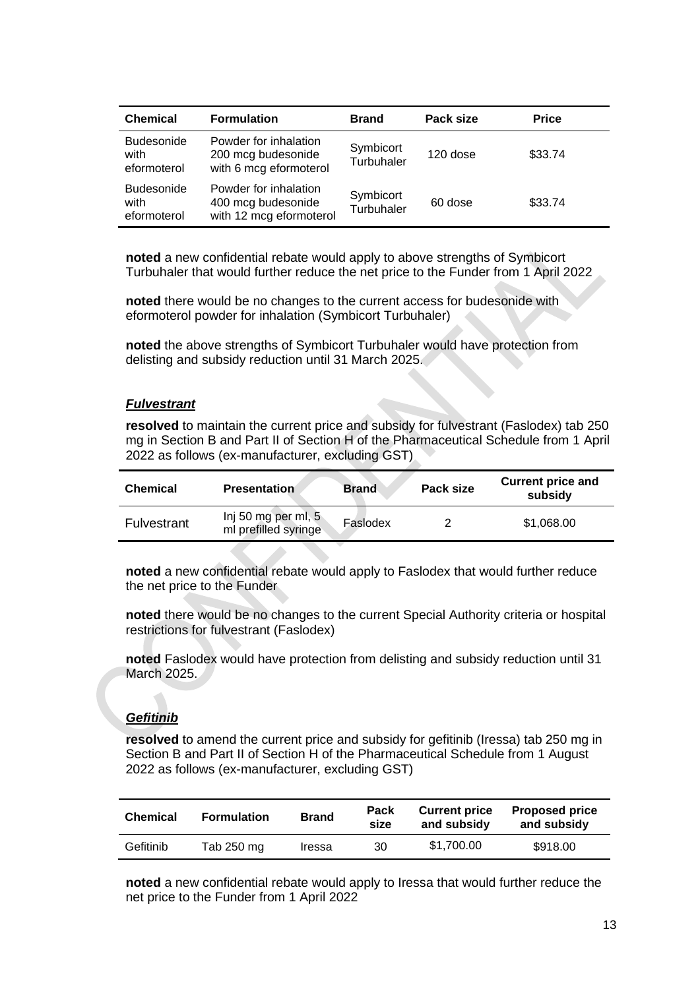| <b>Chemical</b>                          | <b>Formulation</b>                                                     | <b>Brand</b>            | Pack size | <b>Price</b> |
|------------------------------------------|------------------------------------------------------------------------|-------------------------|-----------|--------------|
| <b>Budesonide</b><br>with<br>eformoterol | Powder for inhalation<br>200 mcg budesonide<br>with 6 mcg eformoterol  | Symbicort<br>Turbuhaler | 120 dose  | \$33.74      |
| <b>Budesonide</b><br>with<br>eformoterol | Powder for inhalation<br>400 mcg budesonide<br>with 12 mcg eformoterol | Symbicort<br>Turbuhaler | 60 dose   | \$33.74      |

**noted** a new confidential rebate would apply to above strengths of Symbicort Turbuhaler that would further reduce the net price to the Funder from 1 April 2022

**noted** there would be no changes to the current access for budesonide with eformoterol powder for inhalation (Symbicort Turbuhaler)

**noted** the above strengths of Symbicort Turbuhaler would have protection from delisting and subsidy reduction until 31 March 2025.

#### *Fulvestrant*

**resolved** to maintain the current price and subsidy for fulvestrant (Faslodex) tab 250 mg in Section B and Part II of Section H of the Pharmaceutical Schedule from 1 April 2022 as follows (ex-manufacturer, excluding GST)

| <b>Chemical</b><br><b>Presentation</b> |                                             | <b>Brand</b> | Pack size | subsidy    |
|----------------------------------------|---------------------------------------------|--------------|-----------|------------|
| Fulvestrant                            | Inj 50 mg per ml, 5<br>ml prefilled syringe | Faslodex     |           | \$1.068.00 |

**noted** a new confidential rebate would apply to Faslodex that would further reduce the net price to the Funder

**noted** there would be no changes to the current Special Authority criteria or hospital restrictions for fulvestrant (Faslodex)

**noted** Faslodex would have protection from delisting and subsidy reduction until 31 March 2025.

## *Gefitinib*

**resolved** to amend the current price and subsidy for gefitinib (Iressa) tab 250 mg in Section B and Part II of Section H of the Pharmaceutical Schedule from 1 August 2022 as follows (ex-manufacturer, excluding GST)

| <b>Chemical</b> | <b>Formulation</b> | <b>Brand</b> | <b>Pack</b><br>size | <b>Current price</b><br>and subsidy | <b>Proposed price</b><br>and subsidy |
|-----------------|--------------------|--------------|---------------------|-------------------------------------|--------------------------------------|
| Gefitinib       | Tab 250 mg         | Iressa       | 30                  | \$1.700.00                          | \$918.00                             |

**noted** a new confidential rebate would apply to Iressa that would further reduce the net price to the Funder from 1 April 2022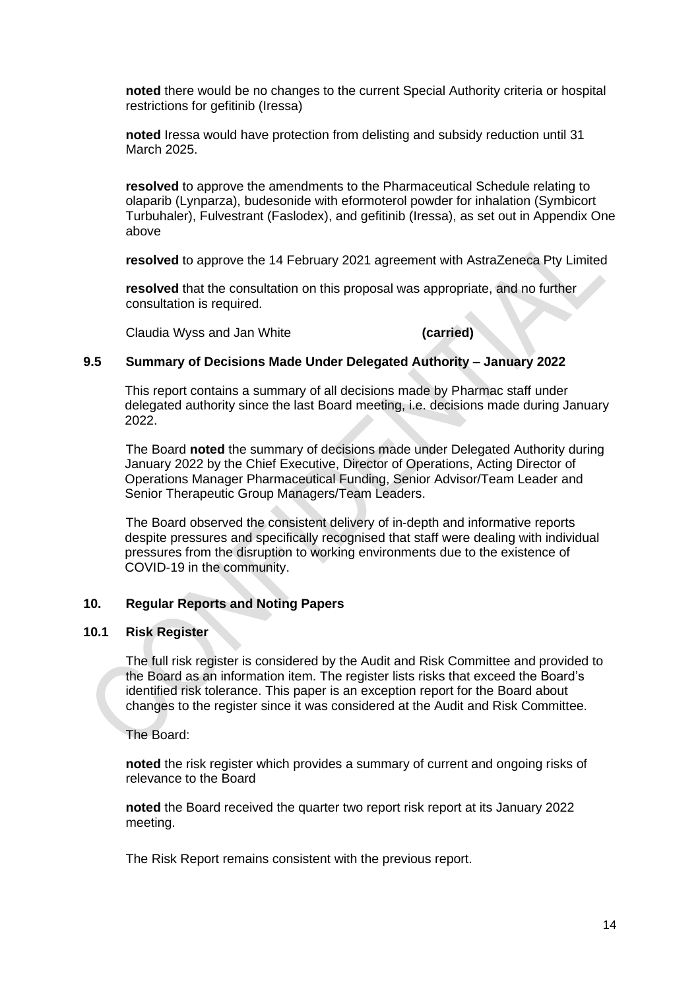**noted** there would be no changes to the current Special Authority criteria or hospital restrictions for gefitinib (Iressa)

**noted** Iressa would have protection from delisting and subsidy reduction until 31 March 2025.

**resolved** to approve the amendments to the Pharmaceutical Schedule relating to olaparib (Lynparza), budesonide with eformoterol powder for inhalation (Symbicort Turbuhaler), Fulvestrant (Faslodex), and gefitinib (Iressa), as set out in Appendix One above

**resolved** to approve the 14 February 2021 agreement with AstraZeneca Pty Limited

**resolved** that the consultation on this proposal was appropriate, and no further consultation is required.

Claudia Wyss and Jan White **(carried)**

## **9.5 Summary of Decisions Made Under Delegated Authority – January 2022**

This report contains a summary of all decisions made by Pharmac staff under delegated authority since the last Board meeting, i.e. decisions made during January 2022

The Board **noted** the summary of decisions made under Delegated Authority during January 2022 by the Chief Executive, Director of Operations, Acting Director of Operations Manager Pharmaceutical Funding, Senior Advisor/Team Leader and Senior Therapeutic Group Managers/Team Leaders.

The Board observed the consistent delivery of in-depth and informative reports despite pressures and specifically recognised that staff were dealing with individual pressures from the disruption to working environments due to the existence of COVID-19 in the community.

## **10. Regular Reports and Noting Papers**

#### **10.1 Risk Register**

The full risk register is considered by the Audit and Risk Committee and provided to the Board as an information item. The register lists risks that exceed the Board's identified risk tolerance. This paper is an exception report for the Board about changes to the register since it was considered at the Audit and Risk Committee.

The Board:

**noted** the risk register which provides a summary of current and ongoing risks of relevance to the Board

**noted** the Board received the quarter two report risk report at its January 2022 meeting.

The Risk Report remains consistent with the previous report.